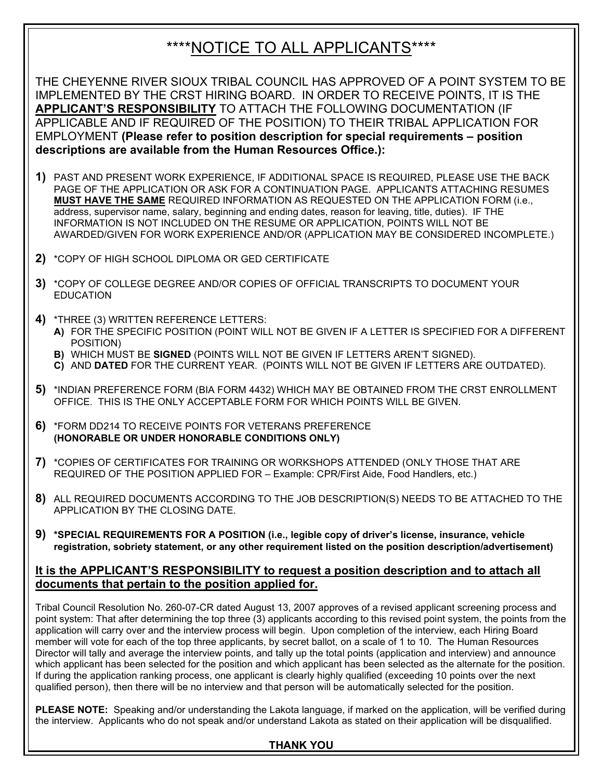## \*\*\*\*NOTICE TO ALL APPLICANTS\*\*\*\*

THE CHEYENNE RIVER SIOUX TRIBAL COUNCIL HAS APPROVED OF A POINT SYSTEM TO BE IMPLEMENTED BY THE CRST HIRING BOARD. IN ORDER TO RECEIVE POINTS, IT IS THE **APPLICANT'S RESPONSIBILITY** TO ATTACH THE FOLLOWING DOCUMENTATION (IF APPLICABLE AND IF REQUIRED OF THE POSITION) TO THEIR TRIBAL APPLICATION FOR EMPLOYMENT **(Please refer to position description for special requirements – position descriptions are available from the Human Resources Office.):**

- **1)** PAST AND PRESENT WORK EXPERIENCE, IF ADDITIONAL SPACE IS REQUIRED, PLEASE USE THE BACK PAGE OF THE APPLICATION OR ASK FOR A CONTINUATION PAGE. APPLICANTS ATTACHING RESUMES **MUST HAVE THE SAME** REQUIRED INFORMATION AS REQUESTED ON THE APPLICATION FORM (i.e., address, supervisor name, salary, beginning and ending dates, reason for leaving, title, duties). IF THE INFORMATION IS NOT INCLUDED ON THE RESUME OR APPLICATION, POINTS WILL NOT BE AWARDED/GIVEN FOR WORK EXPERIENCE AND/OR (APPLICATION MAY BE CONSIDERED INCOMPLETE.)
- **2)** \*COPY OF HIGH SCHOOL DIPLOMA OR GED CERTIFICATE
- **3)** \*COPY OF COLLEGE DEGREE AND/OR COPIES OF OFFICIAL TRANSCRIPTS TO DOCUMENT YOUR **EDUCATION**
- **4)** \*THREE (3) WRITTEN REFERENCE LETTERS:
	- **A)** FOR THE SPECIFIC POSITION (POINT WILL NOT BE GIVEN IF A LETTER IS SPECIFIED FOR A DIFFERENT POSITION)
	- **B)** WHICH MUST BE **SIGNED** (POINTS WILL NOT BE GIVEN IF LETTERS AREN'T SIGNED).
	- **C)** AND **DATED** FOR THE CURRENT YEAR. (POINTS WILL NOT BE GIVEN IF LETTERS ARE OUTDATED).
- **5)** \*INDIAN PREFERENCE FORM (BIA FORM 4432) WHICH MAY BE OBTAINED FROM THE CRST ENROLLMENT OFFICE. THIS IS THE ONLY ACCEPTABLE FORM FOR WHICH POINTS WILL BE GIVEN.
- **6)** \*FORM DD214 TO RECEIVE POINTS FOR VETERANS PREFERENCE **(HONORABLE OR UNDER HONORABLE CONDITIONS ONLY)**
- **7)** \*COPIES OF CERTIFICATES FOR TRAINING OR WORKSHOPS ATTENDED (ONLY THOSE THAT ARE REQUIRED OF THE POSITION APPLIED FOR – Example: CPR/First Aide, Food Handlers, etc.)
- **8)** ALL REQUIRED DOCUMENTS ACCORDING TO THE JOB DESCRIPTION(S) NEEDS TO BE ATTACHED TO THE APPLICATION BY THE CLOSING DATE.
- **9) \*SPECIAL REQUIREMENTS FOR A POSITION (i.e., legible copy of driver's license, insurance, vehicle registration, sobriety statement, or any other requirement listed on the position description/advertisement)**

## **It is the APPLICANT'S RESPONSIBILITY to request a position description and to attach all documents that pertain to the position applied for.**

Tribal Council Resolution No. 260-07-CR dated August 13, 2007 approves of a revised applicant screening process and point system: That after determining the top three (3) applicants according to this revised point system, the points from the application will carry over and the interview process will begin. Upon completion of the interview, each Hiring Board member will vote for each of the top three applicants, by secret ballot, on a scale of 1 to 10. The Human Resources Director will tally and average the interview points, and tally up the total points (application and interview) and announce which applicant has been selected for the position and which applicant has been selected as the alternate for the position. If during the application ranking process, one applicant is clearly highly qualified (exceeding 10 points over the next qualified person), then there will be no interview and that person will be automatically selected for the position.

**PLEASE NOTE:** Speaking and/or understanding the Lakota language, if marked on the application, will be verified during the interview. Applicants who do not speak and/or understand Lakota as stated on their application will be disqualified.

### **THANK YOU**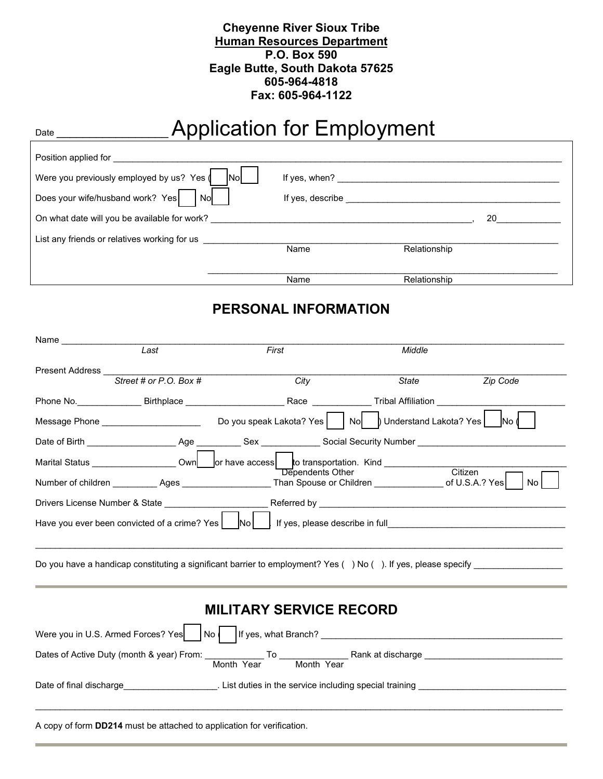## **Cheyenne River Sioux Tribe Human Resources Department P.O. Box 590 Eagle Butte, South Dakota 57625 605-964-4818 Fax: 605-964-1122**

# Date \_\_\_\_\_\_\_\_\_\_\_\_\_\_\_\_\_Application for Employment

| Position applied for                                                                              |                                                                                                                                                                                                                                                                                     |              |
|---------------------------------------------------------------------------------------------------|-------------------------------------------------------------------------------------------------------------------------------------------------------------------------------------------------------------------------------------------------------------------------------------|--------------|
| Were you previously employed by us? Yes (<br><b>Nol</b><br>Does your wife/husband work? Yes<br>No | If yes, when? <u>shipped</u> and the same of the same of the same of the same of the same of the same of the same of the same of the same of the same of the same of the same of the same of the same of the same of the same of th<br>If yes, describe ___________________________ |              |
| On what date will you be available for work?                                                      |                                                                                                                                                                                                                                                                                     | <b>20</b>    |
| List any friends or relatives working for us                                                      | Name                                                                                                                                                                                                                                                                                | Relationship |
|                                                                                                   | Name                                                                                                                                                                                                                                                                                | Relationship |

## **PERSONAL INFORMATION**

| Name __________ |                                                                        |                                                                                                                           |        |          |
|-----------------|------------------------------------------------------------------------|---------------------------------------------------------------------------------------------------------------------------|--------|----------|
|                 | Last                                                                   | First                                                                                                                     | Middle |          |
|                 |                                                                        |                                                                                                                           |        |          |
|                 | Street # or P.O. Box #                                                 | City                                                                                                                      | State  | Zip Code |
|                 |                                                                        |                                                                                                                           |        |          |
|                 |                                                                        | Message Phone ______________________________Do you speak Lakota? Yes   No  b Understand Lakota? Yes   No d                |        |          |
|                 |                                                                        | Date of Birth ______________________Age ____________Sex _____________Social Security Number ________________________      |        |          |
|                 |                                                                        | Marital Status ________________________Own _______or have access ______to transportation. Kind _______________<br>Citizen |        |          |
|                 |                                                                        |                                                                                                                           |        |          |
|                 |                                                                        |                                                                                                                           |        |          |
|                 |                                                                        | Have you ever been convicted of a crime? Yes $\vert$ $\vert$ No $\vert$ if yes, please describe in full                   |        |          |
|                 |                                                                        | Do you have a handicap constituting a significant barrier to employment? Yes () No (). If yes, please specify             |        |          |
|                 |                                                                        | <b>MILITARY SERVICE RECORD</b>                                                                                            |        |          |
|                 |                                                                        |                                                                                                                           |        |          |
|                 |                                                                        | Month Year<br>Month Year                                                                                                  |        |          |
|                 |                                                                        | Date of final discharge <b>Example 20</b> and List duties in the service including special training                       |        |          |
|                 | A copy of form DD214 must be attached to application for verification. |                                                                                                                           |        |          |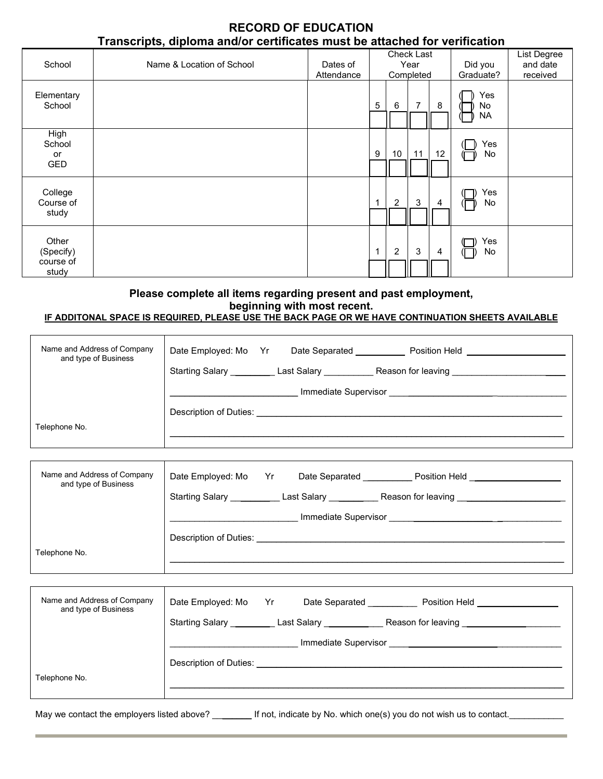## **RECORD OF EDUCATION Transcripts, diploma and/or certificates must be attached for verification**

| School                                   | Name & Location of School | Dates of<br>Attendance |             |                | Check Last<br>Year<br>Completed |                | Did you<br>Graduate?   | List Degree<br>and date<br>received |
|------------------------------------------|---------------------------|------------------------|-------------|----------------|---------------------------------|----------------|------------------------|-------------------------------------|
| Elementary<br>School                     |                           |                        | 5           | 6              | 7                               | 8              | Yes<br>No<br><b>NA</b> |                                     |
| High<br>School<br>or<br><b>GED</b>       |                           |                        | 9           | 10             | 11                              | 12             | Yes<br>No              |                                     |
| College<br>Course of<br>study            |                           |                        | 1           | $\overline{2}$ | 3                               | 4              | Yes<br>No              |                                     |
| Other<br>(Specify)<br>course of<br>study |                           |                        | $\mathbf 1$ | $\overline{2}$ | 3                               | $\overline{4}$ | Yes<br>No              |                                     |

## **Please complete all items regarding present and past employment, beginning with most recent.**

#### **IF ADDITONAL SPACE IS REQUIRED, PLEASE USE THE BACK PAGE OR WE HAVE CONTINUATION SHEETS AVAILABLE**

| Name and Address of Company<br>and type of Business | Date Employed: Mo Yr Date Separated _____________ Position Held ________________                                                                                                                                               |  |  |  |  |
|-----------------------------------------------------|--------------------------------------------------------------------------------------------------------------------------------------------------------------------------------------------------------------------------------|--|--|--|--|
|                                                     | Starting Salary __________ Last Salary ___________ Reason for leaving _____________________________                                                                                                                            |  |  |  |  |
|                                                     |                                                                                                                                                                                                                                |  |  |  |  |
|                                                     |                                                                                                                                                                                                                                |  |  |  |  |
| Telephone No.                                       |                                                                                                                                                                                                                                |  |  |  |  |
|                                                     |                                                                                                                                                                                                                                |  |  |  |  |
| Name and Address of Company<br>and type of Business | Date Employed: Mo Yr Date Separated Position Held ______________________________                                                                                                                                               |  |  |  |  |
|                                                     | Starting Salary _________ Last Salary _______ Reason for leaving _______________                                                                                                                                               |  |  |  |  |
|                                                     |                                                                                                                                                                                                                                |  |  |  |  |
|                                                     | Description of Duties: the contract of the contract of the contract of the contract of the contract of the contract of the contract of the contract of the contract of the contract of the contract of the contract of the con |  |  |  |  |
| Telephone No.                                       |                                                                                                                                                                                                                                |  |  |  |  |
|                                                     |                                                                                                                                                                                                                                |  |  |  |  |
|                                                     |                                                                                                                                                                                                                                |  |  |  |  |
| Name and Address of Company<br>and type of Business | Date Employed: Mo Yr Date Separated _______ Position Held ______________                                                                                                                                                       |  |  |  |  |
|                                                     | Starting Salary __________ Last Salary ______________Reason for leaving ___________________________                                                                                                                            |  |  |  |  |
|                                                     |                                                                                                                                                                                                                                |  |  |  |  |
|                                                     |                                                                                                                                                                                                                                |  |  |  |  |
| Telephone No.                                       |                                                                                                                                                                                                                                |  |  |  |  |
|                                                     |                                                                                                                                                                                                                                |  |  |  |  |

May we contact the employers listed above? \_\_\_\_\_\_\_\_\_\_ If not, indicate by No. which one(s) you do not wish us to contact.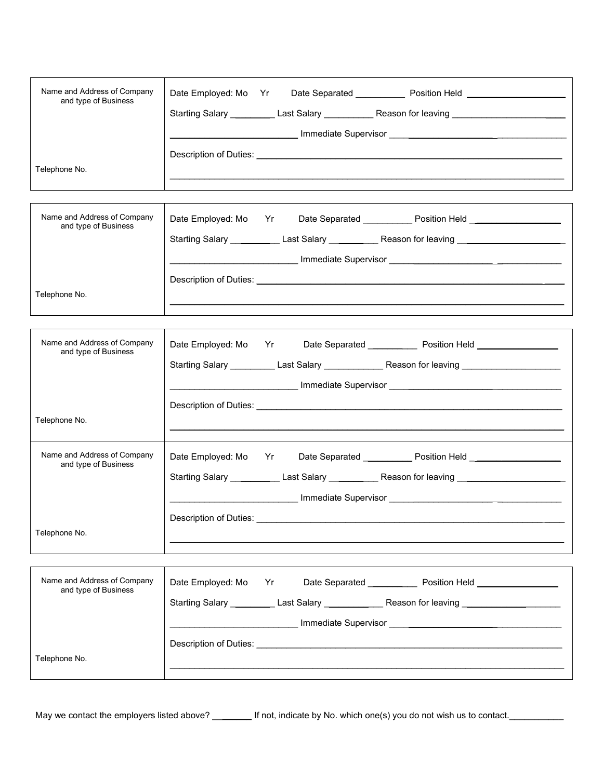| Name and Address of Company<br>and type of Business                  | Date Employed: Mo Yr Date Separated _____________ Position Held ________________<br>Starting Salary ___________ Last Salary _____________Reason for leaving ___________________________                                                                              |
|----------------------------------------------------------------------|----------------------------------------------------------------------------------------------------------------------------------------------------------------------------------------------------------------------------------------------------------------------|
| Telephone No.                                                        |                                                                                                                                                                                                                                                                      |
| Name and Address of Company<br>and type of Business<br>Telephone No. | Date Employed: Mo Yr Date Separated _____________ Position Held ________________<br>Starting Salary _________ Last Salary _ ______ __ Reason for leaving _ _________________<br>________________________________Immediate Supervisor ____________________________    |
|                                                                      |                                                                                                                                                                                                                                                                      |
| Name and Address of Company<br>and type of Business                  | Date Employed: Mo Yr Date Separated _______ Position Held _______________<br>Starting Salary ___________ Last Salary ______________Reason for leaving __________________________<br>___________________________Immediate Supervisor ________________________________ |
| Telephone No.                                                        |                                                                                                                                                                                                                                                                      |
| Name and Address of Company<br>and type of Business                  | Date Separated ____________ Position Held ____________________<br>Date Employed: Mo Yr<br>Starting Salary ____________Last Salary ____________Reason for leaving ____________________________                                                                        |
| Telephone No.                                                        | Description of Duties: __________                                                                                                                                                                                                                                    |
| Name and Address of Company<br>and type of Business                  | Date Employed: Mo Yr<br>Date Separated ______________ Position Held _______________<br>Starting Salary ____________Last Salary __________________Reason for leaving ______________________                                                                           |
| Telephone No.                                                        |                                                                                                                                                                                                                                                                      |

May we contact the employers listed above? \_\_\_\_\_\_\_\_ If not, indicate by No. which one(s) you do not wish us to contact.